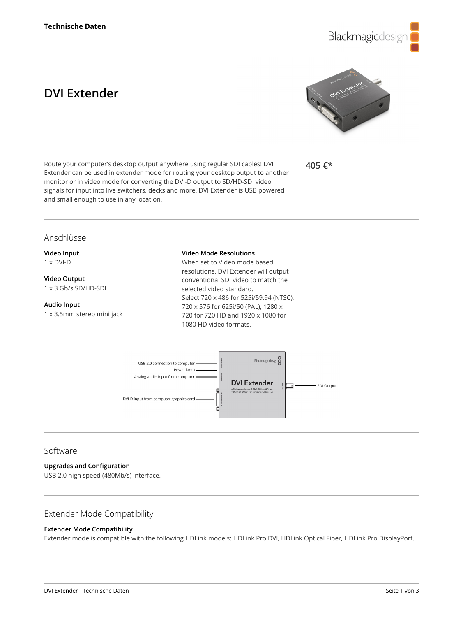

# **DVI Extender**



Route your computer's desktop output anywhere using regular SDI cables! DVI Extender can be used in extender mode for routing your desktop output to another monitor or in video mode for converting the DVI-D output to SD/HD-SDI video signals for input into live switchers, decks and more. DVI Extender is USB powered and small enough to use in any location.

**405 €\***

### Anschlüsse

**Video Input** 1 x DVI-D

## **Video Output**

1 x 3 Gb/s SD/HD-SDI

#### **Audio Input**

1 x 3.5mm stereo mini jack

#### **Video Mode Resolutions**

When set to Video mode based resolutions, DVI Extender will output conventional SDI video to match the selected video standard. Select 720 x 486 for 525i/59.94 (NTSC), 720 x 576 for 625i/50 (PAL), 1280 x 720 for 720 HD and 1920 x 1080 for 1080 HD video formats.



### Software

#### **Upgrades and Configuration**

USB 2.0 high speed (480Mb/s) interface.

#### Extender Mode Compatibility

#### **Extender Mode Compatibility**

Extender mode is compatible with the following HDLink models: HDLink Pro DVI, HDLink Optical Fiber, HDLink Pro DisplayPort.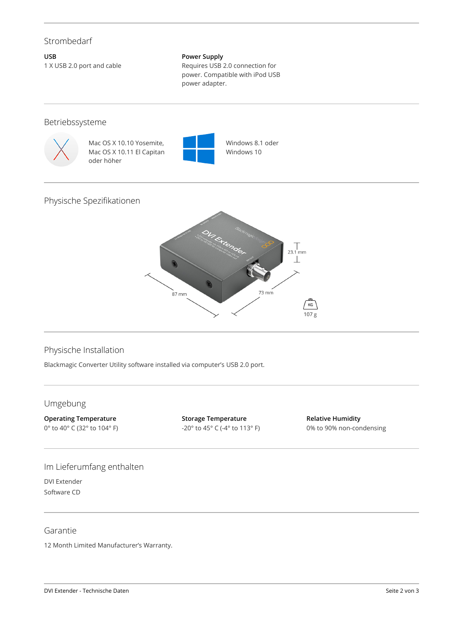# Strombedarf

**USB** 1 X USB 2.0 port and cable

#### **Power Supply**

Requires USB 2.0 connection for power. Compatible with iPod USB power adapter.

### Betriebssysteme



Mac OS X 10.10 Yosemite, Mac OS X 10.11 El Capitan oder höher



Windows 8.1 oder Windows 10

# Physische Spezifikationen



## Physische Installation

Blackmagic Converter Utility software installed via computer's USB 2.0 port.

# Umgebung

**Operating Temperature** 0° to 40° C (32° to 104° F) **Storage Temperature** -20° to 45° C (-4° to 113° F)

**Relative Humidity** 0% to 90% non-condensing

# Im Lieferumfang enthalten

DVI Extender Software CD

### Garantie

12 Month Limited Manufacturer's Warranty.